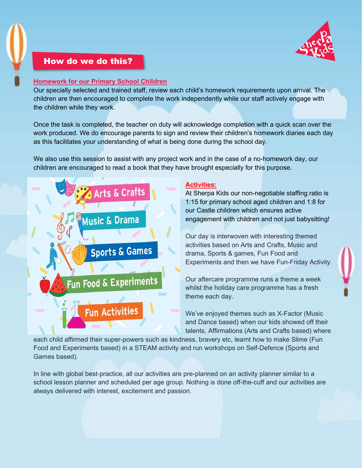

# How do we do this?

#### Homework for our Primary School Children

Our specially selected and trained staff, review each child's homework requirements upon arrival. The children are then encouraged to complete the work independently while our staff actively engage with the children while they work.

Once the task is completed, the teacher on duty will acknowledge completion with a quick scan over the work produced. We do encourage parents to sign and review their children's homework diaries each day as this facilitates your understanding of what is being done during the school day.

We also use this session to assist with any project work and in the case of a no-homework day, our children are encouraged to read a book that they have brought especially for this purpose.



## Activities:

At Sherpa Kids our non-negotiable staffing ratio is 1:15 for primary school aged children and 1:8 for our Castle children which ensures active engagement with children and not just babysitting!

Our day is interwoven with interesting themed activities based on Arts and Crafts, Music and drama, Sports & games, Fun Food and Experiments and then we have Fun-Friday Activity.

Our aftercare programme runs a theme a week whilst the holiday care programme has a fresh theme each day.

We've enjoyed themes such as X-Factor (Music and Dance based) when our kids showed off their talents, Affirmations (Arts and Crafts based) where

each child affirmed their super-powers such as kindness, bravery etc, learnt how to make Slime (Fun Food and Experiments based) in a STEAM activity and run workshops on Self-Defence (Sports and Games based).

In line with global best-practice, all our activities are pre-planned on an activity planner similar to a school lesson planner and scheduled per age group. Nothing is done off-the-cuff and our activities are always delivered with interest, excitement and passion.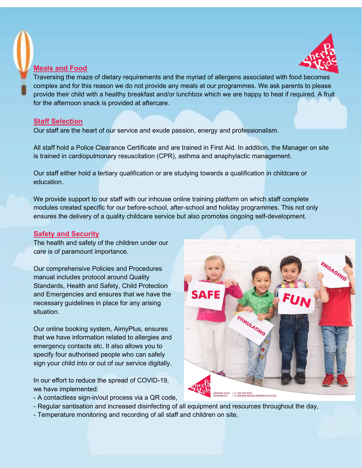

### Meals and Food



Traversing the maze of dietary requirements and the myriad of allergens associated with food becomes complex and for this reason we do not provide any meals at our programmes. We ask parents to please provide their child with a healthy breakfast and/or lunchbox which we are happy to heat if required. A fruit for the afternoon snack is provided at aftercare.

## Staff Selection

Our staff are the heart of our service and exude passion, energy and professionalism.

All staff hold a Police Clearance Certificate and are trained in First Aid. In addition, the Manager on site is trained in cardiopulmonary resuscitation (CPR), asthma and anaphylactic management.

Our staff either hold a tertiary qualification or are studying towards a qualification in childcare or education.

We provide support to our staff with our inhouse online training platform on which staff complete modules created specific for our before-school, after-school and holiday programmes. This not only ensures the delivery of a quality childcare service but also promotes ongoing self-development.

## Safety and Security

The health and safety of the children under our care is of paramount importance.

Our comprehensive Policies and Procedures manual includes protocol around Quality Standards, Health and Safety, Child Protection and Emergencies and ensures that we have the necessary guidelines in place for any arising situation.

Our online booking system, AimyPlus, ensures that we have information related to allergies and emergency contacts etc. It also allows you to specify four authorised people who can safely sign your child into or out of our service digitally.

In our effort to reduce the spread of COVID-19, we have implemented:

- A contactless sign-in/out process via a QR code,



- Regular santisation and increased disinfecting of all equipment and resources throughout the day,
- Temperature monitoring and recording of all staff and children on site,